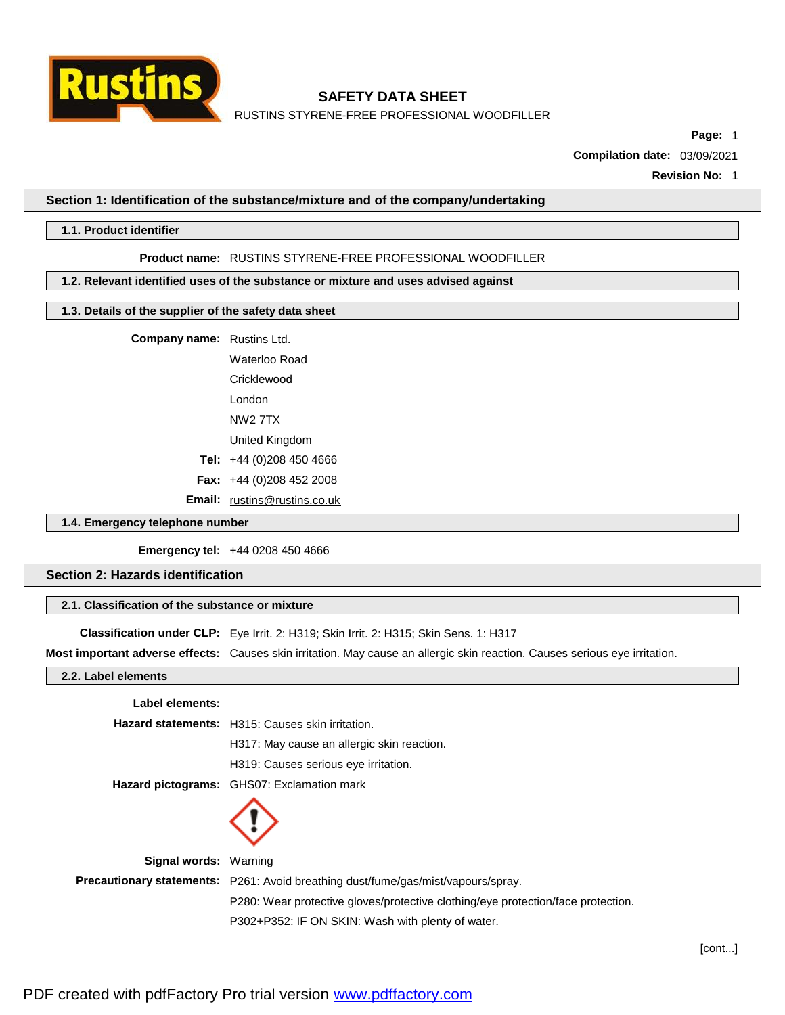

RUSTINS STYRENE-FREE PROFESSIONAL WOODFILLER

**Page:** 1

**Compilation date:** 03/09/2021

**Revision No:** 1

## **Section 1: Identification of the substance/mixture and of the company/undertaking**

### **1.1. Product identifier**

### **Product name:** RUSTINS STYRENE-FREE PROFESSIONAL WOODFILLER

# **1.2. Relevant identified uses of the substance or mixture and uses advised against**

#### **1.3. Details of the supplier of the safety data sheet**

**Company name:** Rustins Ltd.

Waterloo Road **Cricklewood** London NW2 7TX United Kingdom **Tel:** +44 (0)208 450 4666 **Fax:** +44 (0)208 452 2008

**Email:** [rustins@rustins.co.uk](mailto:rustins@rustins.co.uk)

**1.4. Emergency telephone number**

**Emergency tel:** +44 0208 450 4666

## **Section 2: Hazards identification**

#### **2.1. Classification of the substance or mixture**

**Classification under CLP:** Eye Irrit. 2: H319; Skin Irrit. 2: H315; Skin Sens. 1: H317

**Most important adverse effects:** Causes skin irritation. May cause an allergic skin reaction. Causes serious eye irritation.

#### **2.2. Label elements**

| Label elements:              |                                                                                          |
|------------------------------|------------------------------------------------------------------------------------------|
|                              | Hazard statements: H315: Causes skin irritation.                                         |
|                              | H317: May cause an allergic skin reaction.                                               |
|                              | H319: Causes serious eye irritation.                                                     |
|                              | Hazard pictograms: GHS07: Exclamation mark                                               |
|                              |                                                                                          |
| <b>Signal words: Warning</b> |                                                                                          |
|                              | <b>Precautionary statements:</b> P261: Avoid breathing dust/fume/gas/mist/vapours/spray. |
|                              | P280: Wear protective gloves/protective clothing/eye protection/face protection.         |
|                              | P302+P352: IF ON SKIN: Wash with plenty of water.                                        |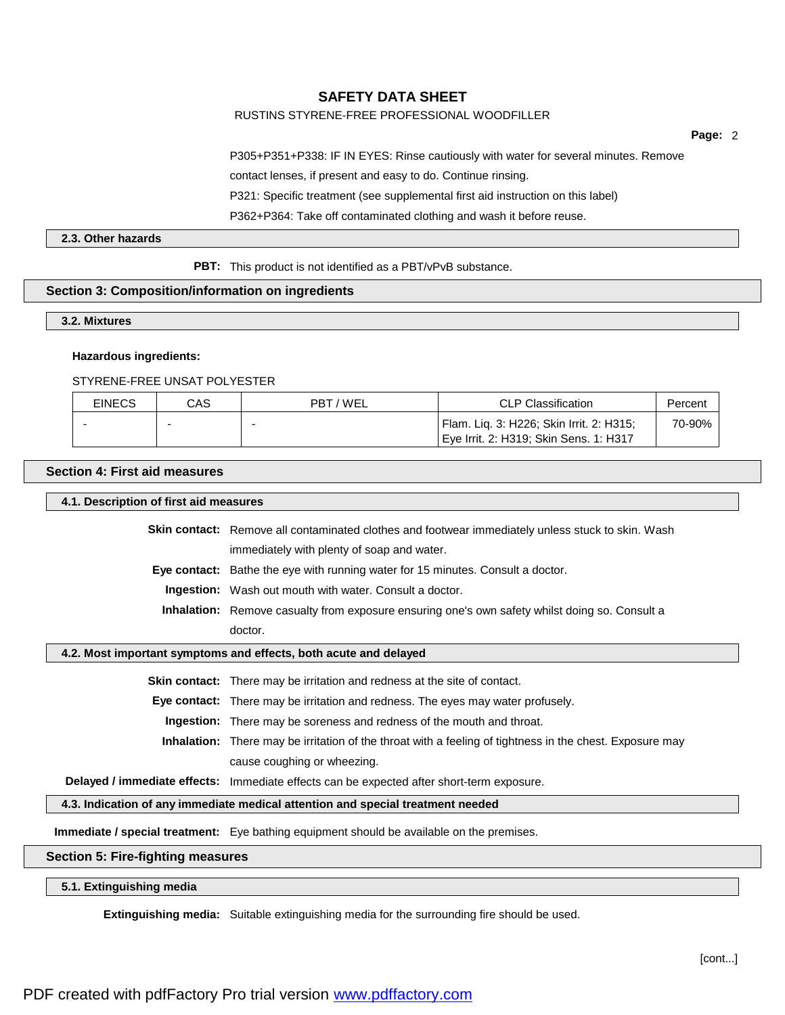# RUSTINS STYRENE-FREE PROFESSIONAL WOODFILLER

**Page:** 2

P305+P351+P338: IF IN EYES: Rinse cautiously with water for several minutes. Remove

contact lenses, if present and easy to do. Continue rinsing.

P321: Specific treatment (see supplemental first aid instruction on this label)

P362+P364: Take off contaminated clothing and wash it before reuse.

# **2.3. Other hazards**

PBT: This product is not identified as a PBT/vPvB substance.

## **Section 3: Composition/information on ingredients**

### **3.2. Mixtures**

#### **Hazardous ingredients:**

## STYRENE-FREE UNSAT POLYESTER

| <b>EINECS</b> | CAS | PBT / WEL | <b>CLP Classification</b>                | Percent |
|---------------|-----|-----------|------------------------------------------|---------|
|               |     |           | Flam. Lig. 3: H226; Skin Irrit. 2: H315; | 70-90%  |
|               |     |           | Eve Irrit. 2: H319; Skin Sens. 1: H317   |         |

## **Section 4: First aid measures**

| 4.1. Description of first aid measures                                          |                                                                                                          |
|---------------------------------------------------------------------------------|----------------------------------------------------------------------------------------------------------|
|                                                                                 | <b>Skin contact:</b> Remove all contaminated clothes and footwear immediately unless stuck to skin. Wash |
|                                                                                 |                                                                                                          |
|                                                                                 | immediately with plenty of soap and water.                                                               |
|                                                                                 | <b>Eye contact:</b> Bathe the eye with running water for 15 minutes. Consult a doctor.                   |
|                                                                                 | <b>Ingestion:</b> Wash out mouth with water. Consult a doctor.                                           |
|                                                                                 | Inhalation: Remove casualty from exposure ensuring one's own safety whilst doing so. Consult a           |
|                                                                                 | doctor.                                                                                                  |
| 4.2. Most important symptoms and effects, both acute and delayed                |                                                                                                          |
|                                                                                 | Skin contact: There may be irritation and redness at the site of contact.                                |
|                                                                                 | <b>Eye contact:</b> There may be irritation and redness. The eyes may water profusely.                   |
|                                                                                 | Ingestion: There may be soreness and redness of the mouth and throat.                                    |
|                                                                                 | Inhalation: There may be irritation of the throat with a feeling of tightness in the chest. Exposure may |
|                                                                                 | cause coughing or wheezing.                                                                              |
|                                                                                 | <b>Delayed / immediate effects:</b> Immediate effects can be expected after short-term exposure.         |
| 4.3. Indication of any immediate medical attention and special treatment needed |                                                                                                          |
|                                                                                 | Immediate / special treatment: Eye bathing equipment should be available on the premises.                |
| <b>Section 5: Fire-fighting measures</b>                                        |                                                                                                          |

# **5.1. Extinguishing media**

**Extinguishing media:** Suitable extinguishing media for the surrounding fire should be used.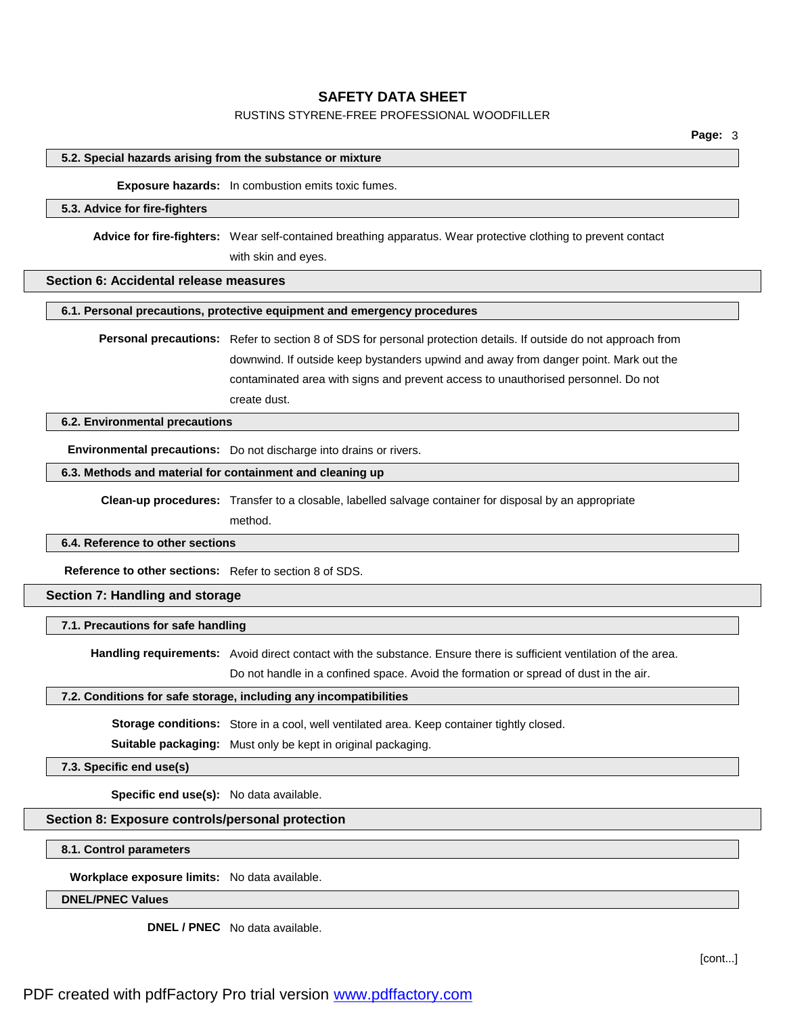### RUSTINS STYRENE-FREE PROFESSIONAL WOODFILLER

#### **5.2. Special hazards arising from the substance or mixture**

#### **Exposure hazards:** In combustion emits toxic fumes.

#### **5.3. Advice for fire-fighters**

**Advice for fire-fighters:** Wear self-contained breathing apparatus. Wear protective clothing to prevent contact

with skin and eyes.

## **Section 6: Accidental release measures**

**6.1. Personal precautions, protective equipment and emergency procedures**

**Personal precautions:** Refer to section 8 of SDS for personal protection details. If outside do not approach from downwind. If outside keep bystanders upwind and away from danger point. Mark out the contaminated area with signs and prevent access to unauthorised personnel. Do not create dust.

# **6.2. Environmental precautions**

**Environmental precautions:** Do not discharge into drains or rivers.

### **6.3. Methods and material for containment and cleaning up**

**Clean-up procedures:** Transfer to a closable, labelled salvage container for disposal by an appropriate method.

## **6.4. Reference to other sections**

**Reference to other sections:** Refer to section 8 of SDS.

### **Section 7: Handling and storage**

#### **7.1. Precautions for safe handling**

**Handling requirements:** Avoid direct contact with the substance. Ensure there is sufficient ventilation of the area.

Do not handle in a confined space. Avoid the formation or spread of dust in the air.

### **7.2. Conditions for safe storage, including any incompatibilities**

**Storage conditions:** Store in a cool, well ventilated area. Keep container tightly closed.

**Suitable packaging:** Must only be kept in original packaging.

**7.3. Specific end use(s)**

**Specific end use(s):** No data available.

# **Section 8: Exposure controls/personal protection**

**8.1. Control parameters**

**Workplace exposure limits:** No data available.

**DNEL/PNEC Values**

**DNEL / PNEC** No data available.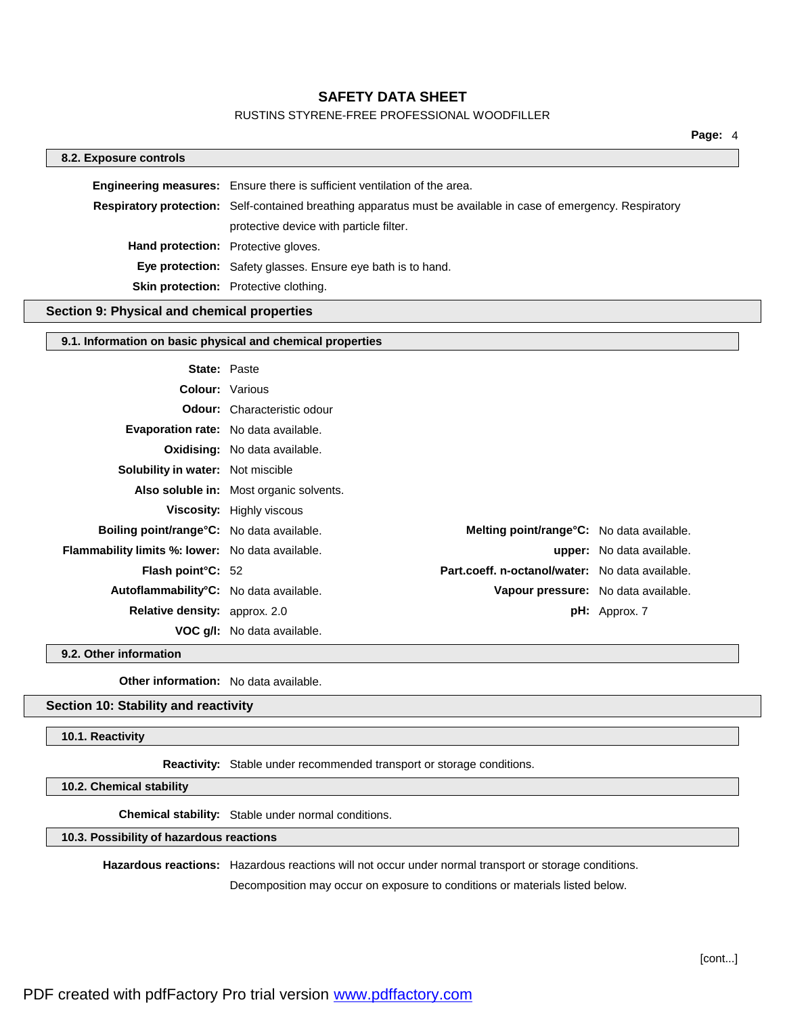## RUSTINS STYRENE-FREE PROFESSIONAL WOODFILLER

| 8.2. Exposure controls              |                                                                                                                       |
|-------------------------------------|-----------------------------------------------------------------------------------------------------------------------|
|                                     | <b>Engineering measures:</b> Ensure there is sufficient ventilation of the area.                                      |
|                                     |                                                                                                                       |
|                                     | <b>Respiratory protection:</b> Self-contained breathing apparatus must be available in case of emergency. Respiratory |
|                                     | protective device with particle filter.                                                                               |
| Hand protection: Protective gloves. |                                                                                                                       |
|                                     | Eye protection: Safety glasses. Ensure eye bath is to hand.                                                           |
|                                     | <b>Skin protection:</b> Protective clothing.                                                                          |
|                                     |                                                                                                                       |

## **Section 9: Physical and chemical properties**

#### **9.1. Information on basic physical and chemical properties**

| <b>State: Paste</b>                                     |                                                   |                                  |
|---------------------------------------------------------|---------------------------------------------------|----------------------------------|
| <b>Colour:</b> Various                                  |                                                   |                                  |
|                                                         | <b>Odour:</b> Characteristic odour                |                                  |
| Evaporation rate: No data available.                    |                                                   |                                  |
|                                                         | <b>Oxidising:</b> No data available.              |                                  |
| <b>Solubility in water:</b> Not miscible                |                                                   |                                  |
|                                                         | Also soluble in: Most organic solvents.           |                                  |
|                                                         | <b>Viscosity:</b> Highly viscous                  |                                  |
| <b>Boiling point/range °C:</b> No data available.       | <b>Melting point/range °C:</b> No data available. |                                  |
| <b>Flammability limits %: lower:</b> No data available. |                                                   | <b>upper:</b> No data available. |
| Flash point°C: 52                                       | Part.coeff. n-octanol/water: No data available.   |                                  |
| Autoflammability°C: No data available.                  | Vapour pressure: No data available.               |                                  |
| Relative density: approx. 2.0                           |                                                   | <b>pH:</b> Approx. 7             |
|                                                         | <b>VOC g/l:</b> No data available.                |                                  |

**9.2. Other information**

**Other information:** No data available.

# **Section 10: Stability and reactivity**

## **10.1. Reactivity**

**Reactivity:** Stable under recommended transport or storage conditions.

**10.2. Chemical stability**

**Chemical stability:** Stable under normal conditions.

# **10.3. Possibility of hazardous reactions**

**Hazardous reactions:** Hazardous reactions will not occur under normal transport or storage conditions.

Decomposition may occur on exposure to conditions or materials listed below.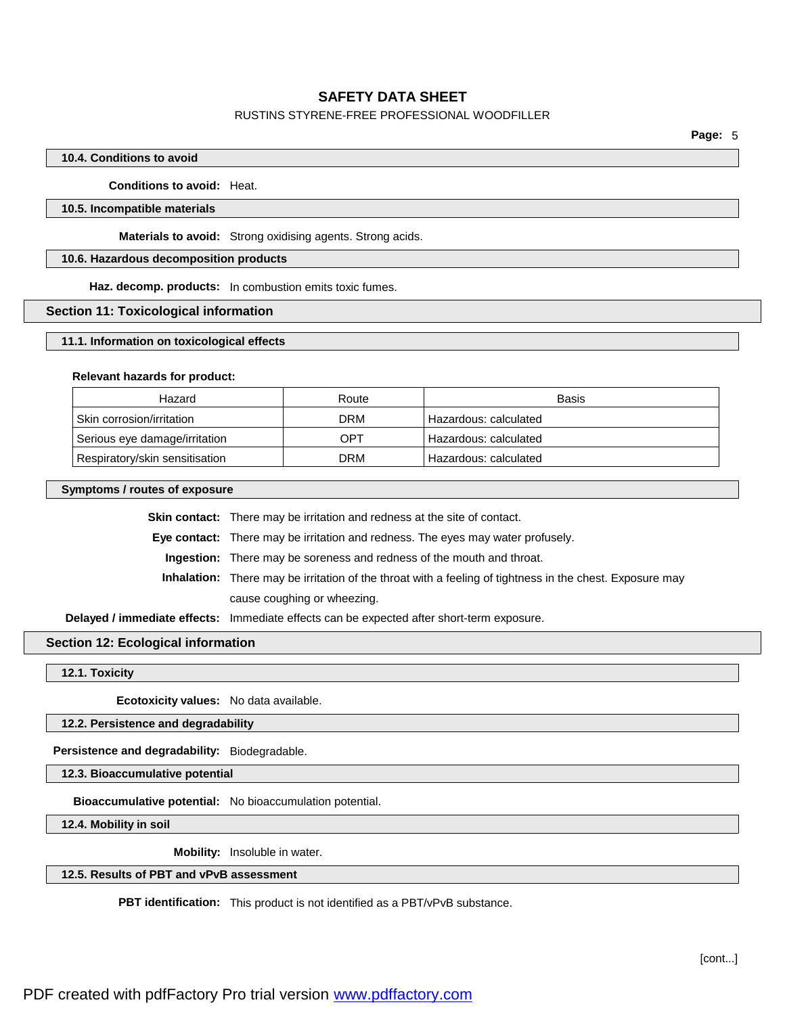### RUSTINS STYRENE-FREE PROFESSIONAL WOODFILLER

#### **10.4. Conditions to avoid**

**Conditions to avoid:** Heat.

### **10.5. Incompatible materials**

**Materials to avoid:** Strong oxidising agents. Strong acids.

# **10.6. Hazardous decomposition products**

**Haz. decomp. products:** In combustion emits toxic fumes.

## **Section 11: Toxicological information**

#### **11.1. Information on toxicological effects**

#### **Relevant hazards for product:**

| Hazard                         | Route      | Basis                 |
|--------------------------------|------------|-----------------------|
| Skin corrosion/irritation      | <b>DRM</b> | Hazardous: calculated |
| Serious eye damage/irritation  | OPT        | Hazardous: calculated |
| Respiratory/skin sensitisation | <b>DRM</b> | Hazardous: calculated |

**Symptoms / routes of exposure**

**Skin contact:** There may be irritation and redness at the site of contact.

**Eye contact:** There may be irritation and redness. The eyes may water profusely.

**Ingestion:** There may be soreness and redness of the mouth and throat.

**Inhalation:** There may be irritation of the throat with a feeling of tightness in the chest. Exposure may cause coughing or wheezing.

**Delayed / immediate effects:** Immediate effects can be expected after short-term exposure.

# **Section 12: Ecological information**

**12.1. Toxicity**

**Ecotoxicity values:** No data available.

**12.2. Persistence and degradability**

**Persistence and degradability:** Biodegradable.

**12.3. Bioaccumulative potential**

**Bioaccumulative potential:** No bioaccumulation potential.

**12.4. Mobility in soil**

**Mobility:** Insoluble in water.

**12.5. Results of PBT and vPvB assessment**

**PBT identification:** This product is not identified as a PBT/vPvB substance.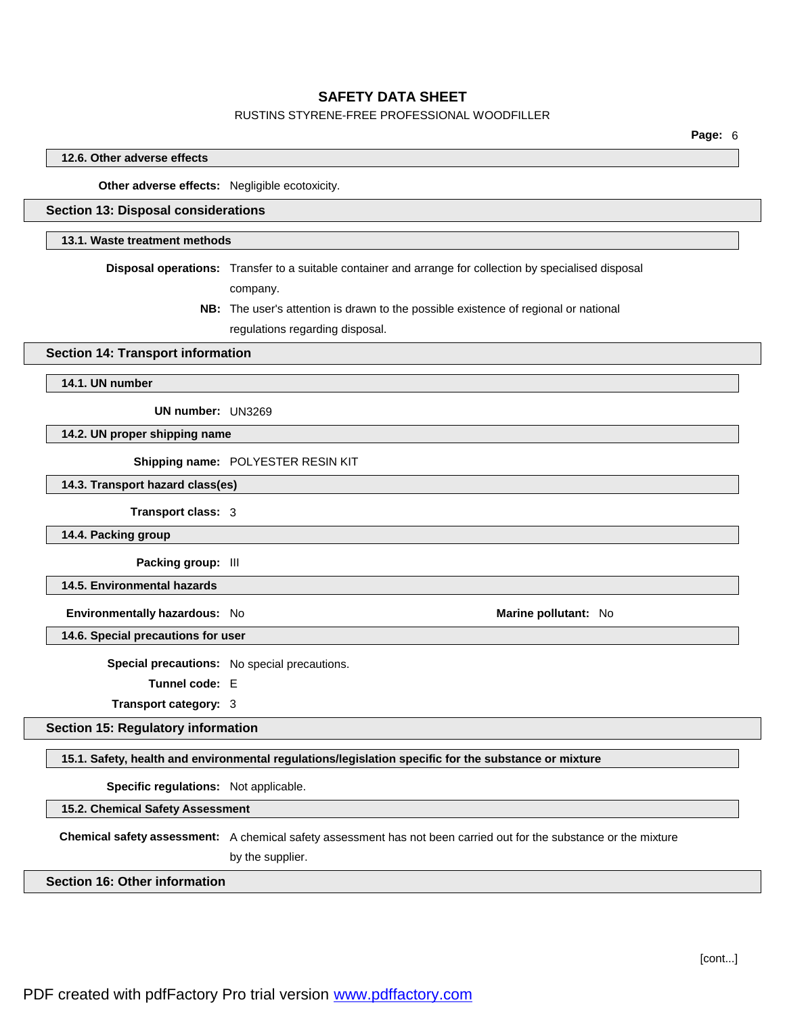### RUSTINS STYRENE-FREE PROFESSIONAL WOODFILLER

#### **12.6. Other adverse effects**

**Other adverse effects:** Negligible ecotoxicity.

# **Section 13: Disposal considerations**

### **13.1. Waste treatment methods**

**Disposal operations:** Transfer to a suitable container and arrange for collection by specialised disposal company.

> **NB:** The user's attention is drawn to the possible existence of regional or national regulations regarding disposal.

# **Section 14: Transport information**

**14.1. UN number**

**UN number:** UN3269

**14.2. UN proper shipping name**

**Shipping name:** POLYESTER RESIN KIT

**14.3. Transport hazard class(es)**

**Transport class:** 3

**14.4. Packing group**

**Packing group:** III

**14.5. Environmental hazards**

**Environmentally hazardous:** No **Marine pollutant:** No

**14.6. Special precautions for user**

**Special precautions:** No special precautions.

**Tunnel code:** E

**Transport category:** 3

**Section 15: Regulatory information**

**15.1. Safety, health and environmental regulations/legislation specific for the substance or mixture**

**Specific regulations:** Not applicable.

**15.2. Chemical Safety Assessment**

**Chemical safety assessment:** A chemical safety assessment has not been carried out for the substance or the mixture

by the supplier.

# **Section 16: Other information**